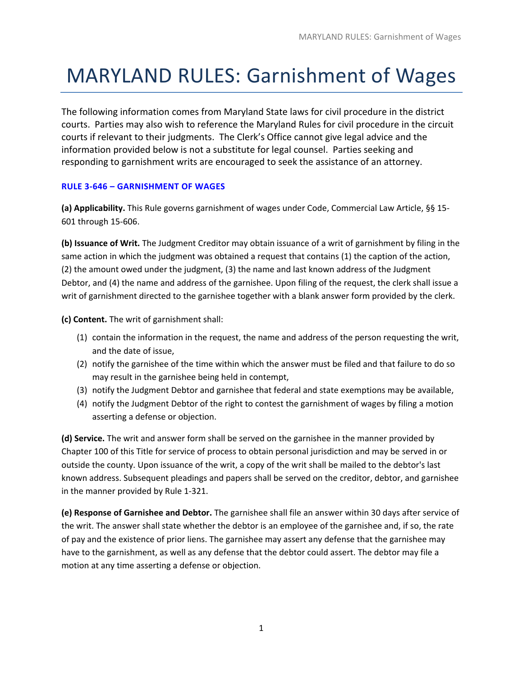## MARYLAND RULES: Garnishment of Wages

The following information comes from Maryland State laws for civil procedure in the district courts. Parties may also wish to reference the Maryland Rules for civil procedure in the circuit courts if relevant to their judgments. The Clerk's Office cannot give legal advice and the information provided below is not a substitute for legal counsel. Parties seeking and responding to garnishment writs are encouraged to seek the assistance of an attorney.

## **RULE 3‐646 – GARNISHMENT OF WAGES**

**(a) Applicability.** This Rule governs garnishment of wages under Code, Commercial Law Article, §§ 15‐ 601 through 15‐606.

**(b) Issuance of Writ.** The Judgment Creditor may obtain issuance of a writ of garnishment by filing in the same action in which the judgment was obtained a request that contains (1) the caption of the action, (2) the amount owed under the judgment, (3) the name and last known address of the Judgment Debtor, and (4) the name and address of the garnishee. Upon filing of the request, the clerk shall issue a writ of garnishment directed to the garnishee together with a blank answer form provided by the clerk.

**(c) Content.** The writ of garnishment shall:

- (1) contain the information in the request, the name and address of the person requesting the writ, and the date of issue,
- (2) notify the garnishee of the time within which the answer must be filed and that failure to do so may result in the garnishee being held in contempt,
- (3) notify the Judgment Debtor and garnishee that federal and state exemptions may be available,
- (4) notify the Judgment Debtor of the right to contest the garnishment of wages by filing a motion asserting a defense or objection.

**(d) Service.** The writ and answer form shall be served on the garnishee in the manner provided by Chapter 100 of this Title for service of process to obtain personal jurisdiction and may be served in or outside the county. Upon issuance of the writ, a copy of the writ shall be mailed to the debtor's last known address. Subsequent pleadings and papers shall be served on the creditor, debtor, and garnishee in the manner provided by Rule 1‐321.

**(e) Response of Garnishee and Debtor.** The garnishee shall file an answer within 30 days after service of the writ. The answer shall state whether the debtor is an employee of the garnishee and, if so, the rate of pay and the existence of prior liens. The garnishee may assert any defense that the garnishee may have to the garnishment, as well as any defense that the debtor could assert. The debtor may file a motion at any time asserting a defense or objection.